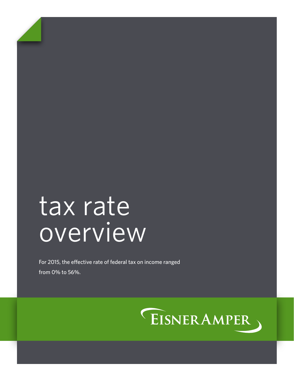# tax rate overview

For 2015, the effective rate of federal tax on income ranged from 0% to 56%.

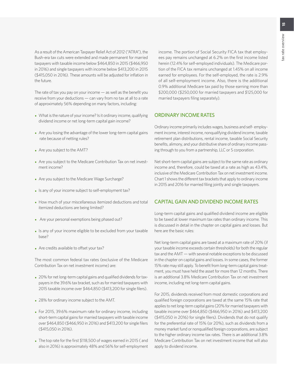As a result of the American Taxpayer Relief Act of 2012 ("ATRA"), the Bush-era tax cuts were extended and made permanent for married taxpayers with taxable income below \$464,850 in 2015 (\$466,950 in 2016) and single taxpayers with income below \$413,200 in 2015 (\$415,050 in 2016). These amounts will be adjusted for inflation in the future.

The rate of tax you pay on your income — as well as the benefit you receive from your deductions — can vary from no tax at all to a rate of approximately 56% depending on many factors, including:

- What is the nature of your income? Is it ordinary income, qualifying dividend income or net long-term capital gain income?
- Are you losing the advantage of the lower long-term capital gains rate because of netting rules?
- Are you subject to the AMT?
- Are you subject to the Medicare Contribution Tax on net investment income?
- Are you subject to the Medicare Wage Surcharge?
- Is any of your income subject to self-employment tax?
- How much of your miscellaneous itemized deductions and total itemized deductions are being limited?
- Are your personal exemptions being phased out?
- Is any of your income eligible to be excluded from your taxable base?
- Are credits available to offset your tax?

The most common federal tax rates (exclusive of the Medicare Contribution Tax on net investment income) are:

- 20% for net long-term capital gains and qualified dividends for taxpayers in the 39.6% tax bracket, such as for married taxpayers with 2015 taxable income over \$464,850 (\$413,200 for single filers).
- 28% for ordinary income subject to the AMT.
- For 2015, 39.6% maximum rate for ordinary income, including short-term capital gains for married taxpayers with taxable income over \$464,850 (\$466,950 in 2016) and \$413,200 for single filers (\$415,050 in 2016).
- The top rate for the first \$118,500 of wages earned in 2015 ( and also in 2016) is approximately 48% and 56% for self-employment

income. The portion of Social Security FICA tax that employees pay remains unchanged at 6.2% on the first income listed herein (12.4% for self-employed individuals). The Medicare portion of the FICA tax remains unchanged at 1.45% on all income earned for employees. For the self-employed, the rate is 2.9% of all self-employment income. Also, there is the additional 0.9% additional Medicare tax paid by those earning more than \$200,000 (\$250,000 for married taxpayers and \$125,000 for married taxpayers filing separately).

### ORDINARY INCOME RATES

Ordinary income primarily includes wages, business and self- employment income, interest income, nonqualifying dividend income, taxable retirement plan distributions, rental income, taxable Social Security benefits, alimony, and your distributive share of ordinary income passing through to you from a partnership, LLC or S corporation.

Net short-term capital gains are subject to the same rate as ordinary income and, therefore, could be taxed at a rate as high as 43.4%, inclusive of the Medicare Contribution Tax on net investment income. Chart 1 shows the different tax brackets that apply to ordinary income in 2015 and 2016 for married filing jointly and single taxpayers.

### CAPITAL GAIN AND DIVIDEND INCOME RATES

Long-term capital gains and qualified dividend income are eligible to be taxed at lower maximum tax rates than ordinary income. This is discussed in detail in the chapter on capital gains and losses. But here are the basic rules:

Net long-term capital gains are taxed at a maximum rate of 20% (if your taxable income exceeds certain thresholds) for both the regular tax and the AMT — with several notable exceptions to be discussed in the chapter on capital gains and losses. In some cases, the former 15% rate may still apply. To benefit from long-term capital gains treatment, you must have held the asset for more than 12 months. There is an additional 3.8% Medicare Contribution Tax on net investment income, including net long-term capital gains.

For 2015, dividends received from most domestic corporations and qualified foreign corporations are taxed at the same 15% rate that applies to net long-term capital gains (20% for married taxpayers with taxable income over \$464,850 (\$466,950 in 2016) and \$413,200 (\$415,050 in 2016) for single filers). Dividends that do not qualify for the preferential rate of 15% (or 20%), such as dividends from a money market fund or nonqualified foreign corporations, are subject to the higher ordinary income tax rates. There is an additional 3.8% Medicare Contribution Tax on net investment income that will also apply to dividend income.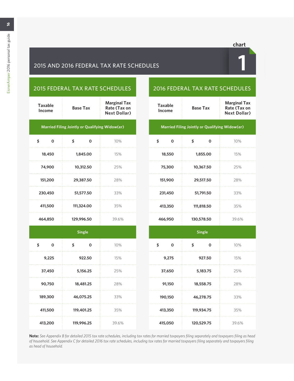# 2015 AND 2016 FEDERAL TAX RATE SCHEDULES **1**

# 2015 FEDERAL TAX RATE SCHEDULES

| <b>Taxable</b><br>Income                       | <b>Base Tax</b> | <b>Marginal Tax</b><br>Rate (Tax on<br><b>Next Dollar)</b> |  |  |
|------------------------------------------------|-----------------|------------------------------------------------------------|--|--|
| Married Filing Jointly or Qualifying Widow(er) |                 |                                                            |  |  |
| \$<br>$\Omega$                                 | \$<br>0         | 10%                                                        |  |  |
| 18,450                                         | 1,845,00        | 15%                                                        |  |  |
| 74,900                                         | 10,312.50       | 25%                                                        |  |  |
| 151,200                                        | 29,387.50       | 28%                                                        |  |  |
| 230,450                                        | 51,577.50       | 33%                                                        |  |  |
| 411,500                                        | 111,324.00      | 35%                                                        |  |  |
| 464,850                                        | 129,996.50      | 39.6%                                                      |  |  |
|                                                |                 |                                                            |  |  |

| Taxable<br>Income                                     | <b>Base Tax</b> | <b>Marginal Tax</b><br>Rate (Tax on<br><b>Next Dollar)</b> |  |  |  |
|-------------------------------------------------------|-----------------|------------------------------------------------------------|--|--|--|
| <b>Married Filing Jointly or Qualifying Widow(er)</b> |                 |                                                            |  |  |  |

2016 FEDERAL TAX RATE SCHEDULES

| \$<br>Ω | \$<br>ი    | 10%   |
|---------|------------|-------|
| 18,550  | 1,855.00   | 15%   |
| 75,300  | 10,367.50  | 25%   |
| 151,900 | 29,517.50  | 28%   |
| 231,450 | 51,791.50  | 33%   |
| 413,350 | 111,818.50 | 35%   |
| 466,950 | 130,578.50 | 39.6% |

|                | <b>Single</b>     |       |                   | <b>Single</b>     |       |
|----------------|-------------------|-------|-------------------|-------------------|-------|
| \$<br>$\Omega$ | \$<br>$\mathbf 0$ | 10%   | \$<br>$\mathbf 0$ | \$<br>$\mathbf 0$ | 10%   |
| 9,225          | 922.50            | 15%   | 9,275             | 927.50            | 15%   |
| 37,450         | 5,156.25          | 25%   | 37,650            | 5,183.75          | 25%   |
| 90,750         | 18,481.25         | 28%   | 91,150            | 18,558.75         | 28%   |
| 189,300        | 46,075.25         | 33%   | 190,150           | 46,278.75         | 33%   |
| 411,500        | 119,401.25        | 35%   | 413,350           | 119,934.75        | 35%   |
| 413,200        | 119,996.25        | 39.6% | 415,050           | 120,529.75        | 39.6% |

**Note:** *See Appendix B for detailed 2015 tax rate schedules, including tax rates for married taxpayers filing separately and taxpayers filing as head of household. See Appendix C for detailed 2016 tax rate schedules, including tax rates for married taxpayers filing separately and taxpayers filing as head of household.*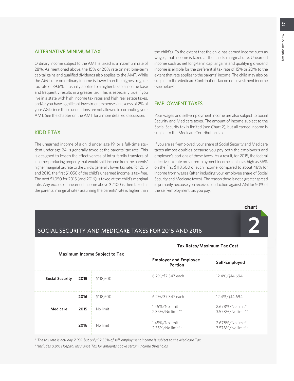### ALTERNATIVE MINIMUM TAX

Ordinary income subject to the AMT is taxed at a maximum rate of 28%. As mentioned above, the 15% or 20% rate on net long-term capital gains and qualified dividends also applies to the AMT. While the AMT rate on ordinary income is lower than the highest regular tax rate of 39.6%, it usually applies to a higher taxable income base and frequently results in a greater tax. This is especially true if you live in a state with high income tax rates and high real estate taxes, and/or you have significant investment expenses in excess of 2% of your AGI, since these deductions are not allowed in computing your AMT. See the chapter on the AMT for a more detailed discussion.

KIDDIE TAX

The unearned income of a child under age 19, or a full-time student under age 24, is generally taxed at the parents' tax rate. This is designed to lessen the effectiveness of intra-family transfers of income-producing property that would shift income from the parents' higher marginal tax rate to the child's generally lower tax rate. For 2015 and 2016, the first \$1,050 of the child's unearned income is tax-free. The next \$1,050 for 2015 (and 2016) is taxed at the child's marginal rate. Any excess of unearned income above \$2,100 is then taxed at the parents' marginal rate (assuming the parents' rate is higher than

the child's). To the extent that the child has earned income such as wages, that income is taxed at the child's marginal rate. Unearned income such as net long-term capital gains and qualifying dividend income is eligible for the preferential tax rate of 15% or 20% to the extent that rate applies to the parents' income. The child may also be subject to the Medicare Contribution Tax on net investment income (see below).

### EMPLOYMENT TAXES

Your wages and self-employment income are also subject to Social Security and Medicare taxes. The amount of income subject to the Social Security tax is limited (see Chart 2), but all earned income is subject to the Medicare Contribution Tax.

If you are self-employed, your share of Social Security and Medicare taxes almost doubles because you pay both the employer's and employee's portions of these taxes. As a result, for 2015, the federal effective tax rate on self-employment income can be as high as 56% on the first \$118,500 of such income, compared to about 48% for income from wages (after including your employee share of Social Security and Medicare taxes). The reason there is not a greater spread is primarily because you receive a deduction against AGI for 50% of the self-employment tax you pay.

**chart**

| SOCIAL SECURITY AND MEDICARE TAXES FOR 2015 AND 2016 |      |                                                |                                    |                                       |
|------------------------------------------------------|------|------------------------------------------------|------------------------------------|---------------------------------------|
| Maximum Income Subject to Tax                        |      | <b>Tax Rates/Maximum Tax Cost</b>              |                                    |                                       |
|                                                      |      | <b>Employer and Employee</b><br><b>Portion</b> | Self-Employed                      |                                       |
| <b>Social Security</b>                               | 2015 | \$118,500                                      | 6.2%/\$7,347 each                  | 12.4%/\$14,694                        |
|                                                      | 2016 | \$118,500                                      | 6.2%/\$7,347 each                  | 12.4%/\$14,694                        |
| Medicare                                             | 2015 | No limit                                       | 1.45%/No limit<br>2.35%/No limit** | 2.678%/No limit*<br>3.578%/No limit** |
|                                                      | 2016 | No limit                                       | 1.45%/No limit<br>2.35%/No limit** | 2.678%/No limit*<br>3.578%/No limit** |

*\* The tax rate is actually 2.9%, but only 92.35% of self-employment income is subject to the Medicare Tax.*

*\*\*Includes 0.9% Hospital Insurance Tax for amounts above certain income thresholds.*

# SOCIAL SECURITY AND MEDICARE TAXES FOR 2015 AND 2016